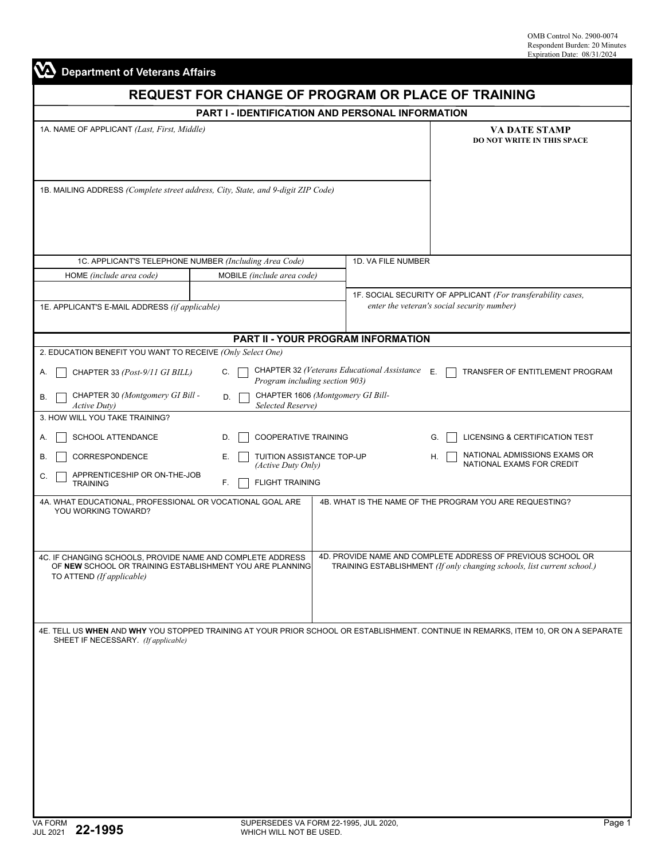| <b>Department of Veterans Affairs</b>                                                                                                               |                                                       |                                                           |                                                                                                                                        |  |  |  |
|-----------------------------------------------------------------------------------------------------------------------------------------------------|-------------------------------------------------------|-----------------------------------------------------------|----------------------------------------------------------------------------------------------------------------------------------------|--|--|--|
|                                                                                                                                                     |                                                       | <b>REQUEST FOR CHANGE OF PROGRAM OR PLACE OF TRAINING</b> |                                                                                                                                        |  |  |  |
|                                                                                                                                                     |                                                       | PART I - IDENTIFICATION AND PERSONAL INFORMATION          |                                                                                                                                        |  |  |  |
| 1A. NAME OF APPLICANT (Last, First, Middle)                                                                                                         | VA DATE STAMP<br><b>DO NOT WRITE IN THIS SPACE</b>    |                                                           |                                                                                                                                        |  |  |  |
| 1B. MAILING ADDRESS (Complete street address, City, State, and 9-digit ZIP Code)                                                                    |                                                       |                                                           |                                                                                                                                        |  |  |  |
| 1C. APPLICANT'S TELEPHONE NUMBER (Including Area Code)                                                                                              |                                                       | 1D. VA FILE NUMBER                                        |                                                                                                                                        |  |  |  |
| HOME (include area code)                                                                                                                            | MOBILE (include area code)                            |                                                           |                                                                                                                                        |  |  |  |
|                                                                                                                                                     |                                                       |                                                           |                                                                                                                                        |  |  |  |
| 1E. APPLICANT'S E-MAIL ADDRESS (if applicable)                                                                                                      |                                                       |                                                           | 1F. SOCIAL SECURITY OF APPLICANT (For transferability cases,<br>enter the veteran's social security number)                            |  |  |  |
|                                                                                                                                                     |                                                       | PART II - YOUR PROGRAM INFORMATION                        |                                                                                                                                        |  |  |  |
| 2. EDUCATION BENEFIT YOU WANT TO RECEIVE (Only Select One)                                                                                          |                                                       |                                                           |                                                                                                                                        |  |  |  |
| CHAPTER 33 (Post-9/11 GI BILL)<br>Α.                                                                                                                | C.<br>Program including section 903)                  | CHAPTER 32 (Veterans Educational Assistance               | Ε.<br>TRANSFER OF ENTITLEMENT PROGRAM                                                                                                  |  |  |  |
| CHAPTER 30 (Montgomery GI Bill -<br>В.<br><b>Active Duty</b> )                                                                                      | D.<br>Selected Reserve)                               | CHAPTER 1606 (Montgomery GI Bill-                         |                                                                                                                                        |  |  |  |
| 3. HOW WILL YOU TAKE TRAINING?                                                                                                                      |                                                       |                                                           |                                                                                                                                        |  |  |  |
| SCHOOL ATTENDANCE<br>А.                                                                                                                             | COOPERATIVE TRAINING<br>D.                            |                                                           | LICENSING & CERTIFICATION TEST<br>G.                                                                                                   |  |  |  |
| CORRESPONDENCE<br>В.<br>APPRENTICESHIP OR ON-THE-JOB                                                                                                | TUITION ASSISTANCE TOP-UP<br>Е.<br>(Active Duty Only) |                                                           | NATIONAL ADMISSIONS EXAMS OR<br>Н.<br>NATIONAL EXAMS FOR CREDIT                                                                        |  |  |  |
| C.<br><b>TRAINING</b>                                                                                                                               | <b>FLIGHT TRAINING</b><br>F.                          |                                                           |                                                                                                                                        |  |  |  |
| 4A. WHAT EDUCATIONAL, PROFESSIONAL OR VOCATIONAL GOAL ARE<br>YOU WORKING TOWARD?                                                                    |                                                       |                                                           | 4B. WHAT IS THE NAME OF THE PROGRAM YOU ARE REQUESTING?                                                                                |  |  |  |
| 4C. IF CHANGING SCHOOLS, PROVIDE NAME AND COMPLETE ADDRESS<br>OF NEW SCHOOL OR TRAINING ESTABLISHMENT YOU ARE PLANNING<br>TO ATTEND (If applicable) |                                                       |                                                           | 4D. PROVIDE NAME AND COMPLETE ADDRESS OF PREVIOUS SCHOOL OR<br>TRAINING ESTABLISHMENT (If only changing schools, list current school.) |  |  |  |
| SHEET IF NECESSARY. (If applicable)                                                                                                                 |                                                       |                                                           | 4E. TELL US WHEN AND WHY YOU STOPPED TRAINING AT YOUR PRIOR SCHOOL OR ESTABLISHMENT. CONTINUE IN REMARKS, ITEM 10, OR ON A SEPARATE    |  |  |  |
|                                                                                                                                                     |                                                       |                                                           |                                                                                                                                        |  |  |  |
|                                                                                                                                                     |                                                       |                                                           |                                                                                                                                        |  |  |  |
|                                                                                                                                                     |                                                       |                                                           |                                                                                                                                        |  |  |  |
|                                                                                                                                                     |                                                       |                                                           |                                                                                                                                        |  |  |  |
|                                                                                                                                                     |                                                       |                                                           |                                                                                                                                        |  |  |  |
|                                                                                                                                                     |                                                       |                                                           |                                                                                                                                        |  |  |  |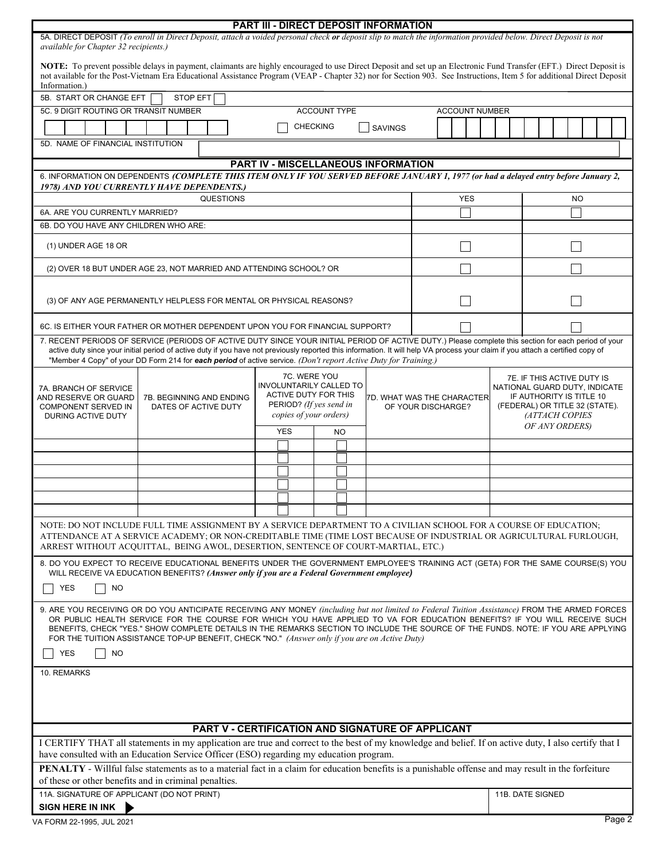|                                                                                                                                                                                                                                                                                                                                                                                                                                                                                                                                              |                                                                                                                                                                                 |                 |                  |  |  |            |  |                                                            |  | <b>PART III - DIRECT DEPOSIT INFORMATION</b>      |                       |            |                                                                                                                                                                      |                  |  |           |  |  |  |  |        |
|----------------------------------------------------------------------------------------------------------------------------------------------------------------------------------------------------------------------------------------------------------------------------------------------------------------------------------------------------------------------------------------------------------------------------------------------------------------------------------------------------------------------------------------------|---------------------------------------------------------------------------------------------------------------------------------------------------------------------------------|-----------------|------------------|--|--|------------|--|------------------------------------------------------------|--|---------------------------------------------------|-----------------------|------------|----------------------------------------------------------------------------------------------------------------------------------------------------------------------|------------------|--|-----------|--|--|--|--|--------|
| 5A. DIRECT DEPOSIT (To enroll in Direct Deposit, attach a voided personal check or deposit slip to match the information provided below. Direct Deposit is not<br>available for Chapter 32 recipients.)                                                                                                                                                                                                                                                                                                                                      |                                                                                                                                                                                 |                 |                  |  |  |            |  |                                                            |  |                                                   |                       |            |                                                                                                                                                                      |                  |  |           |  |  |  |  |        |
| NOTE: To prevent possible delays in payment, claimants are highly encouraged to use Direct Deposit and set up an Electronic Fund Transfer (EFT.) Direct Deposit is<br>not available for the Post-Vietnam Era Educational Assistance Program (VEAP - Chapter 32) nor for Section 903. See Instructions, Item 5 for additional Direct Deposit<br>Information.)                                                                                                                                                                                 |                                                                                                                                                                                 |                 |                  |  |  |            |  |                                                            |  |                                                   |                       |            |                                                                                                                                                                      |                  |  |           |  |  |  |  |        |
| 5B. START OR CHANGE EFT                                                                                                                                                                                                                                                                                                                                                                                                                                                                                                                      |                                                                                                                                                                                 | <b>STOP EFT</b> |                  |  |  |            |  |                                                            |  |                                                   |                       |            |                                                                                                                                                                      |                  |  |           |  |  |  |  |        |
| <b>ACCOUNT TYPE</b><br>5C. 9 DIGIT ROUTING OR TRANSIT NUMBER                                                                                                                                                                                                                                                                                                                                                                                                                                                                                 |                                                                                                                                                                                 |                 |                  |  |  |            |  |                                                            |  |                                                   | <b>ACCOUNT NUMBER</b> |            |                                                                                                                                                                      |                  |  |           |  |  |  |  |        |
|                                                                                                                                                                                                                                                                                                                                                                                                                                                                                                                                              | <b>CHECKING</b><br><b>SAVINGS</b>                                                                                                                                               |                 |                  |  |  |            |  |                                                            |  |                                                   |                       |            |                                                                                                                                                                      |                  |  |           |  |  |  |  |        |
| 5D. NAME OF FINANCIAL INSTITUTION                                                                                                                                                                                                                                                                                                                                                                                                                                                                                                            |                                                                                                                                                                                 |                 |                  |  |  |            |  |                                                            |  |                                                   |                       |            |                                                                                                                                                                      |                  |  |           |  |  |  |  |        |
|                                                                                                                                                                                                                                                                                                                                                                                                                                                                                                                                              |                                                                                                                                                                                 |                 |                  |  |  |            |  |                                                            |  | PART IV - MISCELLANEOUS INFORMATION               |                       |            |                                                                                                                                                                      |                  |  |           |  |  |  |  |        |
| 6. INFORMATION ON DEPENDENTS (COMPLETE THIS ITEM ONLY IF YOU SERVED BEFORE JANUARY 1, 1977 (or had a delayed entry before January 2,<br>1978) AND YOU CURRENTLY HAVE DEPENDENTS.)                                                                                                                                                                                                                                                                                                                                                            |                                                                                                                                                                                 |                 |                  |  |  |            |  |                                                            |  |                                                   |                       |            |                                                                                                                                                                      |                  |  |           |  |  |  |  |        |
|                                                                                                                                                                                                                                                                                                                                                                                                                                                                                                                                              |                                                                                                                                                                                 |                 | <b>QUESTIONS</b> |  |  |            |  |                                                            |  |                                                   |                       | <b>YES</b> |                                                                                                                                                                      |                  |  | <b>NO</b> |  |  |  |  |        |
| 6A. ARE YOU CURRENTLY MARRIED?                                                                                                                                                                                                                                                                                                                                                                                                                                                                                                               |                                                                                                                                                                                 |                 |                  |  |  |            |  |                                                            |  |                                                   |                       |            |                                                                                                                                                                      |                  |  |           |  |  |  |  |        |
| 6B. DO YOU HAVE ANY CHILDREN WHO ARE:                                                                                                                                                                                                                                                                                                                                                                                                                                                                                                        |                                                                                                                                                                                 |                 |                  |  |  |            |  |                                                            |  |                                                   |                       |            |                                                                                                                                                                      |                  |  |           |  |  |  |  |        |
| (1) UNDER AGE 18 OR                                                                                                                                                                                                                                                                                                                                                                                                                                                                                                                          |                                                                                                                                                                                 |                 |                  |  |  |            |  |                                                            |  |                                                   |                       |            |                                                                                                                                                                      |                  |  |           |  |  |  |  |        |
| (2) OVER 18 BUT UNDER AGE 23, NOT MARRIED AND ATTENDING SCHOOL? OR                                                                                                                                                                                                                                                                                                                                                                                                                                                                           |                                                                                                                                                                                 |                 |                  |  |  |            |  |                                                            |  |                                                   |                       |            |                                                                                                                                                                      |                  |  |           |  |  |  |  |        |
| (3) OF ANY AGE PERMANENTLY HELPLESS FOR MENTAL OR PHYSICAL REASONS?                                                                                                                                                                                                                                                                                                                                                                                                                                                                          |                                                                                                                                                                                 |                 |                  |  |  |            |  |                                                            |  |                                                   |                       |            |                                                                                                                                                                      |                  |  |           |  |  |  |  |        |
| 6C. IS EITHER YOUR FATHER OR MOTHER DEPENDENT UPON YOU FOR FINANCIAL SUPPORT?                                                                                                                                                                                                                                                                                                                                                                                                                                                                |                                                                                                                                                                                 |                 |                  |  |  |            |  |                                                            |  |                                                   |                       |            |                                                                                                                                                                      |                  |  |           |  |  |  |  |        |
| 7. RECENT PERIODS OF SERVICE (PERIODS OF ACTIVE DUTY SINCE YOUR INITIAL PERIOD OF ACTIVE DUTY.) Please complete this section for each period of your<br>active duty since your initial period of active duty if you have not previously reported this information. It will help VA process your claim if you attach a certified copy of<br>"Member 4 Copy" of your DD Form 214 for each period of active service. (Don't report Active Duty for Training.)                                                                                   |                                                                                                                                                                                 |                 |                  |  |  |            |  |                                                            |  |                                                   |                       |            |                                                                                                                                                                      |                  |  |           |  |  |  |  |        |
| 7A. BRANCH OF SERVICE<br>AND RESERVE OR GUARD<br><b>COMPONENT SERVED IN</b><br>DURING ACTIVE DUTY                                                                                                                                                                                                                                                                                                                                                                                                                                            | 7C. WERE YOU<br>INVOLUNTARILY CALLED TO<br><b>ACTIVE DUTY FOR THIS</b><br>7B. BEGINNING AND ENDING<br>PERIOD? (If yes send in<br>DATES OF ACTIVE DUTY<br>copies of your orders) |                 |                  |  |  |            |  | I7D. WHAT WAS THE CHARACTER <b>I</b><br>OF YOUR DISCHARGE? |  |                                                   |                       |            | <b>7E. IF THIS ACTIVE DUTY IS</b><br>NATIONAL GUARD DUTY, INDICATE<br>IF AUTHORITY IS TITLE 10<br>(FEDERAL) OR TITLE 32 (STATE).<br>(ATTACH COPIES<br>OF ANY ORDERS) |                  |  |           |  |  |  |  |        |
|                                                                                                                                                                                                                                                                                                                                                                                                                                                                                                                                              |                                                                                                                                                                                 |                 |                  |  |  | <b>YES</b> |  | NO                                                         |  |                                                   |                       |            |                                                                                                                                                                      |                  |  |           |  |  |  |  |        |
|                                                                                                                                                                                                                                                                                                                                                                                                                                                                                                                                              |                                                                                                                                                                                 |                 |                  |  |  |            |  |                                                            |  |                                                   |                       |            |                                                                                                                                                                      |                  |  |           |  |  |  |  |        |
|                                                                                                                                                                                                                                                                                                                                                                                                                                                                                                                                              |                                                                                                                                                                                 |                 |                  |  |  |            |  |                                                            |  |                                                   |                       |            |                                                                                                                                                                      |                  |  |           |  |  |  |  |        |
|                                                                                                                                                                                                                                                                                                                                                                                                                                                                                                                                              |                                                                                                                                                                                 |                 |                  |  |  |            |  |                                                            |  |                                                   |                       |            |                                                                                                                                                                      |                  |  |           |  |  |  |  |        |
|                                                                                                                                                                                                                                                                                                                                                                                                                                                                                                                                              |                                                                                                                                                                                 |                 |                  |  |  |            |  |                                                            |  |                                                   |                       |            |                                                                                                                                                                      |                  |  |           |  |  |  |  |        |
|                                                                                                                                                                                                                                                                                                                                                                                                                                                                                                                                              |                                                                                                                                                                                 |                 |                  |  |  |            |  |                                                            |  |                                                   |                       |            |                                                                                                                                                                      |                  |  |           |  |  |  |  |        |
| NOTE: DO NOT INCLUDE FULL TIME ASSIGNMENT BY A SERVICE DEPARTMENT TO A CIVILIAN SCHOOL FOR A COURSE OF EDUCATION;<br>ATTENDANCE AT A SERVICE ACADEMY; OR NON-CREDITABLE TIME (TIME LOST BECAUSE OF INDUSTRIAL OR AGRICULTURAL FURLOUGH,<br>ARREST WITHOUT ACQUITTAL, BEING AWOL, DESERTION, SENTENCE OF COURT-MARTIAL, ETC.)                                                                                                                                                                                                                 |                                                                                                                                                                                 |                 |                  |  |  |            |  |                                                            |  |                                                   |                       |            |                                                                                                                                                                      |                  |  |           |  |  |  |  |        |
| 8. DO YOU EXPECT TO RECEIVE EDUCATIONAL BENEFITS UNDER THE GOVERNMENT EMPLOYEE'S TRAINING ACT (GETA) FOR THE SAME COURSE(S) YOU<br>WILL RECEIVE VA EDUCATION BENEFITS? (Answer only if you are a Federal Government employee)                                                                                                                                                                                                                                                                                                                |                                                                                                                                                                                 |                 |                  |  |  |            |  |                                                            |  |                                                   |                       |            |                                                                                                                                                                      |                  |  |           |  |  |  |  |        |
| <b>YES</b><br><b>NO</b>                                                                                                                                                                                                                                                                                                                                                                                                                                                                                                                      |                                                                                                                                                                                 |                 |                  |  |  |            |  |                                                            |  |                                                   |                       |            |                                                                                                                                                                      |                  |  |           |  |  |  |  |        |
| 9. ARE YOU RECEIVING OR DO YOU ANTICIPATE RECEIVING ANY MONEY (including but not limited to Federal Tuition Assistance) FROM THE ARMED FORCES<br>OR PUBLIC HEALTH SERVICE FOR THE COURSE FOR WHICH YOU HAVE APPLIED TO VA FOR EDUCATION BENEFITS? IF YOU WILL RECEIVE SUCH<br>BENEFITS, CHECK "YES." SHOW COMPLETE DETAILS IN THE REMARKS SECTION TO INCLUDE THE SOURCE OF THE FUNDS. NOTE: IF YOU ARE APPLYING<br>FOR THE TUITION ASSISTANCE TOP-UP BENEFIT, CHECK "NO." (Answer only if you are on Active Duty)<br><b>YES</b><br><b>NO</b> |                                                                                                                                                                                 |                 |                  |  |  |            |  |                                                            |  |                                                   |                       |            |                                                                                                                                                                      |                  |  |           |  |  |  |  |        |
| 10. REMARKS                                                                                                                                                                                                                                                                                                                                                                                                                                                                                                                                  |                                                                                                                                                                                 |                 |                  |  |  |            |  |                                                            |  |                                                   |                       |            |                                                                                                                                                                      |                  |  |           |  |  |  |  |        |
|                                                                                                                                                                                                                                                                                                                                                                                                                                                                                                                                              |                                                                                                                                                                                 |                 |                  |  |  |            |  |                                                            |  |                                                   |                       |            |                                                                                                                                                                      |                  |  |           |  |  |  |  |        |
|                                                                                                                                                                                                                                                                                                                                                                                                                                                                                                                                              |                                                                                                                                                                                 |                 |                  |  |  |            |  |                                                            |  | PART V - CERTIFICATION AND SIGNATURE OF APPLICANT |                       |            |                                                                                                                                                                      |                  |  |           |  |  |  |  |        |
| I CERTIFY THAT all statements in my application are true and correct to the best of my knowledge and belief. If on active duty, I also certify that I<br>have consulted with an Education Service Officer (ESO) regarding my education program.                                                                                                                                                                                                                                                                                              |                                                                                                                                                                                 |                 |                  |  |  |            |  |                                                            |  |                                                   |                       |            |                                                                                                                                                                      |                  |  |           |  |  |  |  |        |
| <b>PENALTY</b> - Willful false statements as to a material fact in a claim for education benefits is a punishable offense and may result in the forfeiture<br>of these or other benefits and in criminal penalties.                                                                                                                                                                                                                                                                                                                          |                                                                                                                                                                                 |                 |                  |  |  |            |  |                                                            |  |                                                   |                       |            |                                                                                                                                                                      |                  |  |           |  |  |  |  |        |
| 11A. SIGNATURE OF APPLICANT (DO NOT PRINT)                                                                                                                                                                                                                                                                                                                                                                                                                                                                                                   |                                                                                                                                                                                 |                 |                  |  |  |            |  |                                                            |  |                                                   |                       |            |                                                                                                                                                                      | 11B. DATE SIGNED |  |           |  |  |  |  |        |
| SIGN HERE IN INK<br>VA FORM 22-1995, JUL 2021                                                                                                                                                                                                                                                                                                                                                                                                                                                                                                |                                                                                                                                                                                 |                 |                  |  |  |            |  |                                                            |  |                                                   |                       |            |                                                                                                                                                                      |                  |  |           |  |  |  |  | Page 2 |
|                                                                                                                                                                                                                                                                                                                                                                                                                                                                                                                                              |                                                                                                                                                                                 |                 |                  |  |  |            |  |                                                            |  |                                                   |                       |            |                                                                                                                                                                      |                  |  |           |  |  |  |  |        |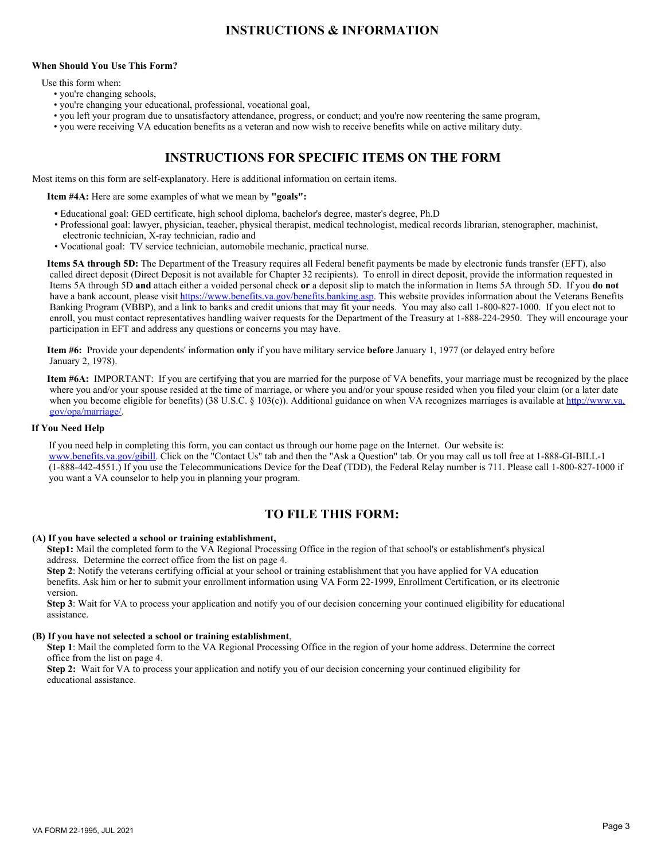# **INSTRUCTIONS & INFORMATION**

### **When Should You Use This Form?**

Use this form when:

- you're changing schools,
- you're changing your educational, professional, vocational goal,
- you left your program due to unsatisfactory attendance, progress, or conduct; and you're now reentering the same program,
- you were receiving VA education benefits as a veteran and now wish to receive benefits while on active military duty.

## **INSTRUCTIONS FOR SPECIFIC ITEMS ON THE FORM**

Most items on this form are self-explanatory. Here is additional information on certain items.

 **Item #4A:** Here are some examples of what we mean by **"goals":** 

- Educational goal: GED certificate, high school diploma, bachelor's degree, master's degree, Ph.D
- Professional goal: lawyer, physician, teacher, physical therapist, medical technologist, medical records librarian, stenographer, machinist, electronic technician, X-ray technician, radio and
- Vocational goal: TV service technician, automobile mechanic, practical nurse.

 **Items 5A through 5D:** The Department of the Treasury requires all Federal benefit payments be made by electronic funds transfer (EFT), also called direct deposit (Direct Deposit is not available for Chapter 32 recipients). To enroll in direct deposit, provide the information requested in Items 5A through 5D **and** attach either a voided personal check **or** a deposit slip to match the information in Items 5A through 5D. If you **do not** have a bank account, please visit<https://www.benefits.va.gov/benefits.banking.asp>. This website provides information about the Veterans Benefits Banking Program (VBBP), and a link to banks and credit unions that may fit your needs. You may also call 1-800-827-1000. If you elect not to enroll, you must contact representatives handling waiver requests for the Department of the Treasury at 1-888-224-2950. They will encourage your participation in EFT and address any questions or concerns you may have.

 **Item #6:** Provide your dependents' information **only** if you have military service **before** January 1, 1977 (or delayed entry before January 2, 1978).

**Item #6A:** IMPORTANT: If you are certifying that you are married for the purpose of VA benefits, your marriage must be recognized by the place where you and/or your spouse resided at the time of marriage, or where you and/or your spouse resided when you filed your claim (or a later date when you become eligible for benefits) (38 U.S.C. § 103(c)). Additional guidance on when VA recognizes marriages is available at [http://www.va.](http://www.va.gov/opa/marriage/) [gov/opa/marriage/.](http://www.va.gov/opa/marriage/)

### **If You Need Help**

If you need help in completing this form, you can contact us through our home page on the Internet. Our website is: [www.benefits.va.gov/gibill](www.gibill.va.gov/gibill). Click on the "Contact Us" tab and then the "Ask a Question" tab. Or you may call us toll free at 1-888-GI-BILL-1 (1-888-442-4551.) If you use the Telecommunications Device for the Deaf (TDD), the Federal Relay number is 711. Please call 1-800-827-1000 if you want a VA counselor to help you in planning your program.

## **TO FILE THIS FORM:**

### **(A) If you have selected a school or training establishment,**

 **Step1:** Mail the completed form to the VA Regional Processing Office in the region of that school's or establishment's physical address. Determine the correct office from the list on page 4.

 **Step 2**: Notify the veterans certifying official at your school or training establishment that you have applied for VA education benefits. Ask him or her to submit your enrollment information using VA Form 22-1999, Enrollment Certification, or its electronic version.

 **Step 3**: Wait for VA to process your application and notify you of our decision concerning your continued eligibility for educational assistance.

### **(B) If you have not selected a school or training establishment**,

 **Step 1**: Mail the completed form to the VA Regional Processing Office in the region of your home address. Determine the correct office from the list on page 4.

 **Step 2:** Wait for VA to process your application and notify you of our decision concerning your continued eligibility for educational assistance.